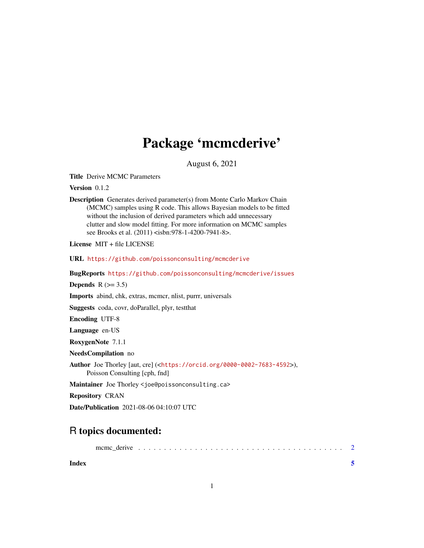## Package 'mcmcderive'

August 6, 2021

<span id="page-0-0"></span>Title Derive MCMC Parameters

Version 0.1.2

Description Generates derived parameter(s) from Monte Carlo Markov Chain (MCMC) samples using R code. This allows Bayesian models to be fitted without the inclusion of derived parameters which add unnecessary clutter and slow model fitting. For more information on MCMC samples see Brooks et al. (2011) <isbn:978-1-4200-7941-8>.

License MIT + file LICENSE

URL <https://github.com/poissonconsulting/mcmcderive>

BugReports <https://github.com/poissonconsulting/mcmcderive/issues>

Depends  $R$  ( $>= 3.5$ )

Imports abind, chk, extras, mcmcr, nlist, purrr, universals

Suggests coda, covr, doParallel, plyr, testthat

Encoding UTF-8

Language en-US

RoxygenNote 7.1.1

NeedsCompilation no

Author Joe Thorley [aut, cre] (<<https://orcid.org/0000-0002-7683-4592>>),

Poisson Consulting [cph, fnd]

Maintainer Joe Thorley <joe@poissonconsulting.ca>

Repository CRAN

Date/Publication 2021-08-06 04:10:07 UTC

### R topics documented:

|--|--|--|--|--|--|--|--|--|--|--|--|--|--|--|--|--|--|--|--|--|--|--|--|--|--|--|--|--|--|--|--|--|--|--|--|--|--|--|--|--|--|--|--|--|--|--|--|--|--|

**Index** [5](#page-4-0). The second state of the second state of the second state of the second state of the second state of the second state of the second state of the second state of the second state of the second state of the second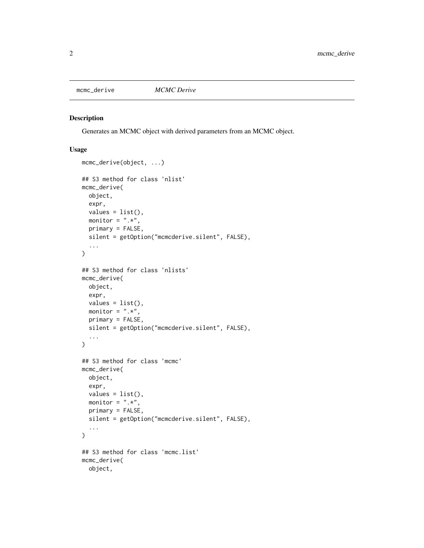<span id="page-1-0"></span>mcmc\_derive *MCMC Derive*

#### Description

Generates an MCMC object with derived parameters from an MCMC object.

#### Usage

```
mcmc_derive(object, ...)
## S3 method for class 'nlist'
mcmc_derive(
 object,
  expr,
 values = list(),
 monitor = ", *",primary = FALSE,
  silent = getOption("mcmcderive.silent", FALSE),
  ...
\mathcal{L}## S3 method for class 'nlists'
mcmc_derive(
 object,
 expr,
  values = list(),
 monitor = ", *",primary = FALSE,
 silent = getOption("mcmcderive.silent", FALSE),
  ...
\mathcal{L}## S3 method for class 'mcmc'
mcmc_derive(
 object,
 expr,
  values = list(),monitor = ".**",
 primary = FALSE,
  silent = getOption("mcmcderive.silent", FALSE),
  ...
\mathcal{L}## S3 method for class 'mcmc.list'
mcmc_derive(
 object,
```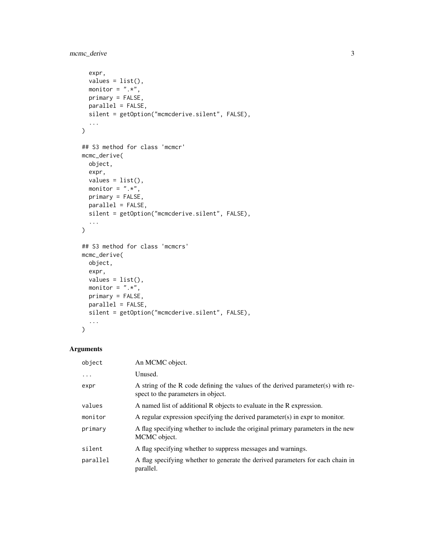```
expr,
 values = list(),
 monitor = ".**",
 primary = FALSE,
 parallel = FALSE,
 silent = getOption("mcmcderive.silent", FALSE),
  ...
\mathcal{L}## S3 method for class 'mcmcr'
mcmc_derive(
 object,
 expr,
 values = list(),
 monitor = ".**",
 primary = FALSE,
 parallel = FALSE,
 silent = getOption("mcmcderive.silent", FALSE),
  ...
\mathcal{L}## S3 method for class 'mcmcrs'
mcmc_derive(
 object,
 expr,
 values = list(),
 monitor = ", *",primary = FALSE,
 parallel = FALSE,
 silent = getOption("mcmcderive.silent", FALSE),
  ...
\mathcal{L}
```
#### Arguments

| object   | An MCMC object.                                                                                                       |
|----------|-----------------------------------------------------------------------------------------------------------------------|
| $\cdots$ | Unused.                                                                                                               |
| expr     | A string of the R code defining the values of the derived parameter(s) with re-<br>spect to the parameters in object. |
| values   | A named list of additional R objects to evaluate in the R expression.                                                 |
| monitor  | A regular expression specifying the derived parameter(s) in expr to monitor.                                          |
| primary  | A flag specifying whether to include the original primary parameters in the new<br>MCMC object.                       |
| silent   | A flag specifying whether to suppress messages and warnings.                                                          |
| parallel | A flag specifying whether to generate the derived parameters for each chain in<br>parallel.                           |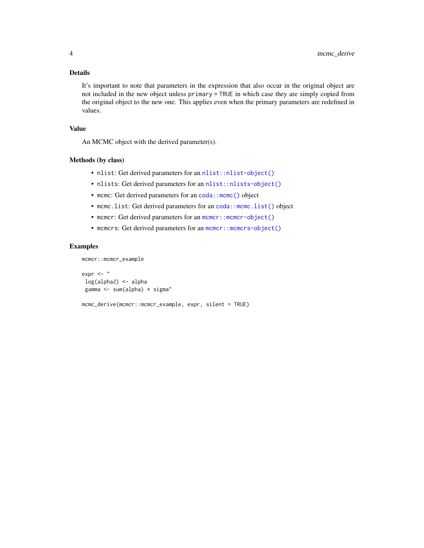#### <span id="page-3-0"></span>Details

It's important to note that parameters in the expression that also occur in the original object are not included in the new object unless primary = TRUE in which case they are simply copied from the original object to the new one. This applies even when the primary parameters are redefined in values.

#### Value

An MCMC object with the derived parameter(s).

#### Methods (by class)

- nlist: Get derived parameters for an [nlist::nlist-object\(\)](#page-0-0)
- nlists: Get derived parameters for an [nlist::nlists-object\(\)](#page-0-0)
- mcmc: Get derived parameters for an coda:: mcmc() object
- mcmc.list: Get derived parameters for an coda:: mcmc.list() object
- mcmcr: Get derived parameters for an [mcmcr::mcmcr-object\(\)](#page-0-0)
- mcmcrs: Get derived parameters for an mcmcr:: mcmcrs-object()

#### Examples

mcmcr::mcmcr\_example

```
expr <- "
log(alpha2) <- alpha
gamma <- sum(alpha) * sigma"
```
mcmc\_derive(mcmcr::mcmcr\_example, expr, silent = TRUE)